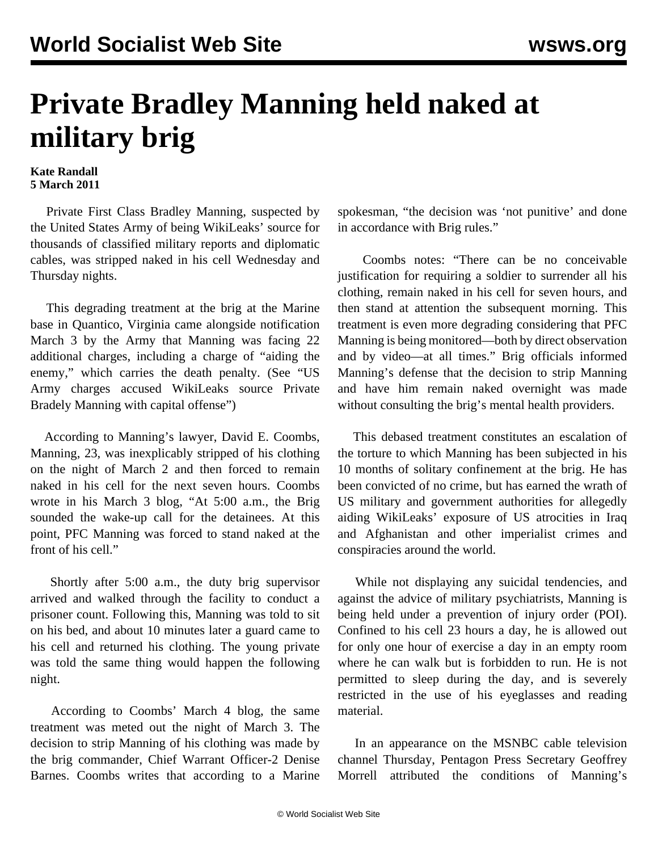## **Private Bradley Manning held naked at military brig**

## **Kate Randall 5 March 2011**

 Private First Class Bradley Manning, suspected by the United States Army of being WikiLeaks' source for thousands of classified military reports and diplomatic cables, was stripped naked in his cell Wednesday and Thursday nights.

 This degrading treatment at the brig at the Marine base in Quantico, Virginia came alongside notification March 3 by the Army that Manning was facing 22 additional charges, including a charge of "aiding the enemy," which carries the death penalty. (See ["US](/en/articles/2011/mar2011/mann-m03.shtml) [Army charges accused WikiLeaks source Private](/en/articles/2011/mar2011/mann-m03.shtml) [Bradely Manning with capital offense](/en/articles/2011/mar2011/mann-m03.shtml)")

 According to Manning's lawyer, David E. Coombs, Manning, 23, was inexplicably stripped of his clothing on the night of March 2 and then forced to remain naked in his cell for the next seven hours. Coombs wrote in his March 3 [blog,](http://www.armycourtmartialdefense.info/) "At 5:00 a.m., the Brig sounded the wake-up call for the detainees. At this point, PFC Manning was forced to stand naked at the front of his cell."

 Shortly after 5:00 a.m., the duty brig supervisor arrived and walked through the facility to conduct a prisoner count. Following this, Manning was told to sit on his bed, and about 10 minutes later a guard came to his cell and returned his clothing. The young private was told the same thing would happen the following night.

 According to Coombs' March 4 [blog](http://www.armycourtmartialdefense.info/), the same treatment was meted out the night of March 3. The decision to strip Manning of his clothing was made by the brig commander, Chief Warrant Officer-2 Denise Barnes. Coombs writes that according to a Marine spokesman, "the decision was 'not punitive' and done in accordance with Brig rules."

 Coombs notes: "There can be no conceivable justification for requiring a soldier to surrender all his clothing, remain naked in his cell for seven hours, and then stand at attention the subsequent morning. This treatment is even more degrading considering that PFC Manning is being monitored—both by direct observation and by video—at all times." Brig officials informed Manning's defense that the decision to strip Manning and have him remain naked overnight was made without consulting the brig's mental health providers.

 This debased treatment constitutes an escalation of the torture to which Manning has been subjected in his 10 months of solitary confinement at the brig. He has been convicted of no crime, but has earned the wrath of US military and government authorities for allegedly aiding WikiLeaks' exposure of US atrocities in Iraq and Afghanistan and other imperialist crimes and conspiracies around the world.

 While not displaying any suicidal tendencies, and against the advice of military psychiatrists, Manning is being held under a prevention of injury order (POI). Confined to his cell 23 hours a day, he is allowed out for only one hour of exercise a day in an empty room where he can walk but is forbidden to run. He is not permitted to sleep during the day, and is severely restricted in the use of his eyeglasses and reading material.

 In an appearance on the MSNBC cable television channel Thursday, Pentagon Press Secretary Geoffrey Morrell attributed the conditions of Manning's